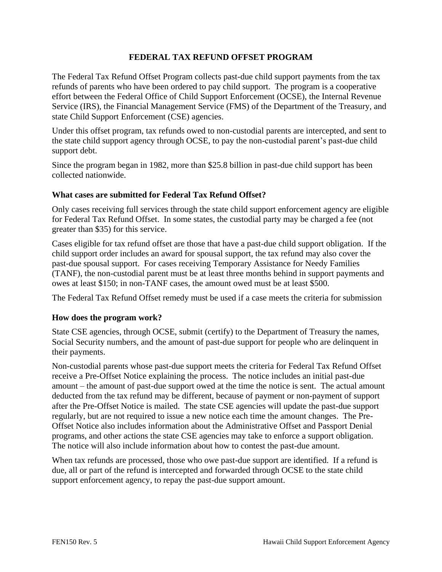# **FEDERAL TAX REFUND OFFSET PROGRAM**

The Federal Tax Refund Offset Program collects past-due child support payments from the tax refunds of parents who have been ordered to pay child support. The program is a cooperative effort between the Federal Office of Child Support Enforcement (OCSE), the Internal Revenue Service (IRS), the Financial Management Service (FMS) of the Department of the Treasury, and state Child Support Enforcement (CSE) agencies.

Under this offset program, tax refunds owed to non-custodial parents are intercepted, and sent to the state child support agency through OCSE, to pay the non-custodial parent's past-due child support debt.

Since the program began in 1982, more than \$25.8 billion in past-due child support has been collected nationwide.

### **What cases are submitted for Federal Tax Refund Offset?**

Only cases receiving full services through the state child support enforcement agency are eligible for Federal Tax Refund Offset. In some states, the custodial party may be charged a fee (not greater than \$35) for this service.

Cases eligible for tax refund offset are those that have a past-due child support obligation. If the child support order includes an award for spousal support, the tax refund may also cover the past-due spousal support. For cases receiving Temporary Assistance for Needy Families (TANF), the non-custodial parent must be at least three months behind in support payments and owes at least \$150; in non-TANF cases, the amount owed must be at least \$500.

The Federal Tax Refund Offset remedy must be used if a case meets the criteria for submission

### **How does the program work?**

State CSE agencies, through OCSE, submit (certify) to the Department of Treasury the names, Social Security numbers, and the amount of past-due support for people who are delinquent in their payments.

Non-custodial parents whose past-due support meets the criteria for Federal Tax Refund Offset receive a Pre-Offset Notice explaining the process. The notice includes an initial past-due amount – the amount of past-due support owed at the time the notice is sent. The actual amount deducted from the tax refund may be different, because of payment or non-payment of support after the Pre-Offset Notice is mailed. The state CSE agencies will update the past-due support regularly, but are not required to issue a new notice each time the amount changes. The Pre-Offset Notice also includes information about the Administrative Offset and Passport Denial programs, and other actions the state CSE agencies may take to enforce a support obligation. The notice will also include information about how to contest the past-due amount.

When tax refunds are processed, those who owe past-due support are identified. If a refund is due, all or part of the refund is intercepted and forwarded through OCSE to the state child support enforcement agency, to repay the past-due support amount.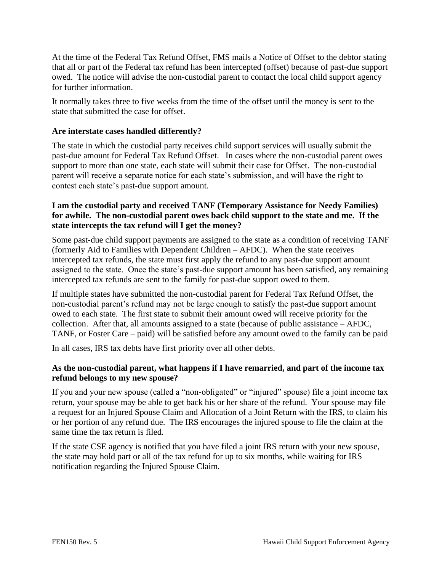At the time of the Federal Tax Refund Offset, FMS mails a Notice of Offset to the debtor stating that all or part of the Federal tax refund has been intercepted (offset) because of past-due support owed. The notice will advise the non-custodial parent to contact the local child support agency for further information.

It normally takes three to five weeks from the time of the offset until the money is sent to the state that submitted the case for offset.

# **Are interstate cases handled differently?**

The state in which the custodial party receives child support services will usually submit the past-due amount for Federal Tax Refund Offset. In cases where the non-custodial parent owes support to more than one state, each state will submit their case for Offset. The non-custodial parent will receive a separate notice for each state's submission, and will have the right to contest each state's past-due support amount.

## **I am the custodial party and received TANF (Temporary Assistance for Needy Families) for awhile. The non-custodial parent owes back child support to the state and me. If the state intercepts the tax refund will I get the money?**

Some past-due child support payments are assigned to the state as a condition of receiving TANF (formerly Aid to Families with Dependent Children – AFDC). When the state receives intercepted tax refunds, the state must first apply the refund to any past-due support amount assigned to the state. Once the state's past-due support amount has been satisfied, any remaining intercepted tax refunds are sent to the family for past-due support owed to them.

If multiple states have submitted the non-custodial parent for Federal Tax Refund Offset, the non-custodial parent's refund may not be large enough to satisfy the past-due support amount owed to each state. The first state to submit their amount owed will receive priority for the collection. After that, all amounts assigned to a state (because of public assistance – AFDC, TANF, or Foster Care – paid) will be satisfied before any amount owed to the family can be paid

In all cases, IRS tax debts have first priority over all other debts.

# **As the non-custodial parent, what happens if I have remarried, and part of the income tax refund belongs to my new spouse?**

If you and your new spouse (called a "non-obligated" or "injured" spouse) file a joint income tax return, your spouse may be able to get back his or her share of the refund. Your spouse may file a request for an Injured Spouse Claim and Allocation of a Joint Return with the IRS, to claim his or her portion of any refund due. The IRS encourages the injured spouse to file the claim at the same time the tax return is filed.

If the state CSE agency is notified that you have filed a joint IRS return with your new spouse, the state may hold part or all of the tax refund for up to six months, while waiting for IRS notification regarding the Injured Spouse Claim.